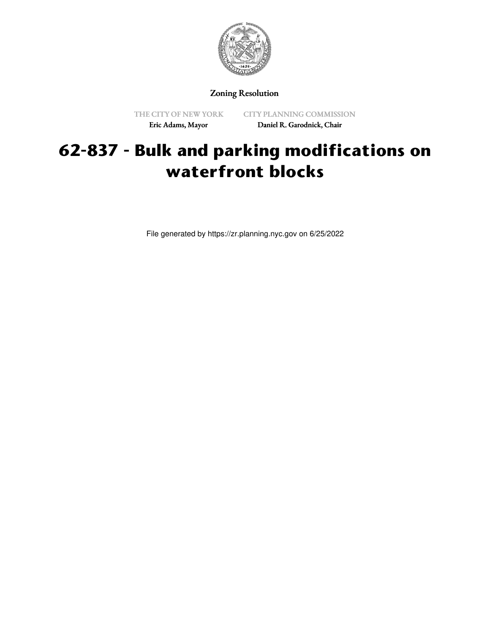

## Zoning Resolution

THE CITY OF NEW YORK Eric Adams, Mayor

CITY PLANNING COMMISSION Daniel R. Garodnick, Chair

## **62-837 - Bulk and parking modifications on waterfront blocks**

File generated by https://zr.planning.nyc.gov on 6/25/2022